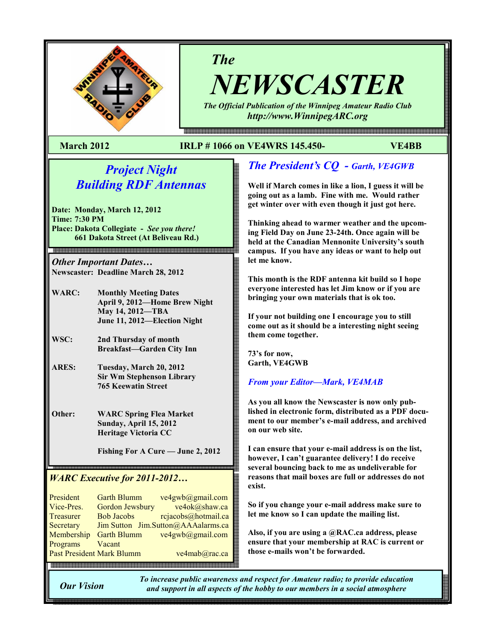

# The

NEWSCASTER The Official Publication of the Winnipeg Amateur Radio Club

http://www.WinnipegARC.org

e en de maar de maan de maan de maan de maan de maan de maan de maan de de de maan de en de de maan de maan de

## March 2012 IRLP # 1066 on VE4WRS 145.450- VE4BB

# Project Night Building RDF Antennas

Date: Monday, March 12, 2012 Time: 7:30 PM Place: Dakota Collegiate - See you there! 661 Dakota Street (At Beliveau Rd.)

Other Important Dates… Newscaster: Deadline March 28, 2012

.<br>이 전에 2006 전에 2006 전에 2006 전에 2006 전에 2006 전에 2006 전에 2006 전에 2006 전에 2006 전에 2006 전에 2006 전에 2006 전에 2006 전에 2006 전에 2006 전에 2006 전에 2006 전에 2006 전에 2006 전에 2006 전에 2006 전에 2006 전에 2006 전에 2006 2006 2006 2006 2006 2006

- WARC: Monthly Meeting Dates April 9, 2012—Home Brew Night May 14, 2012—TBA June 11, 2012—Election Night
- WSC: 2nd Thursday of month Breakfast—Garden City Inn
- ARES: Tuesday, March 20, 2012 Sir Wm Stephenson Library 765 Keewatin Street

Other: WARC Spring Flea Market Sunday, April 15, 2012 Heritage Victoria CC

Fishing For A Cure — June 2, 2012

# WARC Executive for 2011-2012…

| President                        | <b>Garth Blumm</b> | ve4gwb@gmail.com                   |
|----------------------------------|--------------------|------------------------------------|
| Vice-Pres.                       | Gordon Jewsbury    | ve4ok@shaw.ca                      |
| Treasurer                        | <b>Bob Jacobs</b>  | rcjacobs@hotmail.ca                |
| Secretary                        |                    | Jim Sutton Jim.Sutton@AAAalarms.ca |
| Membership                       | <b>Garth Blumm</b> | ve4gwb@gmail.com                   |
| Programs                         | Vacant             |                                    |
| <b>Past President Mark Blumm</b> |                    | ve4mab@rac.ca                      |
|                                  |                    |                                    |

# The President's CQ - Garth, VE4GWB

Well if March comes in like a lion, I guess it will be going out as a lamb. Fine with me. Would rather get winter over with even though it just got here.

Thinking ahead to warmer weather and the upcoming Field Day on June 23-24th. Once again will be held at the Canadian Mennonite University's south campus. If you have any ideas or want to help out let me know.

This month is the RDF antenna kit build so I hope everyone interested has let Jim know or if you are bringing your own materials that is ok too.

If your not building one I encourage you to still come out as it should be a interesting night seeing them come together.

73's for now, Garth, VE4GWB

## From your Editor—Mark, VE4MAB

As you all know the Newscaster is now only published in electronic form, distributed as a PDF document to our member's e-mail address, and archived on our web site.

I can ensure that your e-mail address is on the list, however, I can't guarantee delivery! I do receive several bouncing back to me as undeliverable for reasons that mail boxes are full or addresses do not exist.

So if you change your e-mail address make sure to let me know so I can update the mailing list.

Also, if you are using a @RAC.ca address, please ensure that your membership at RAC is current or those e-mails won't be forwarded.

Our Vision

To increase public awareness and respect for Amateur radio; to provide education and support in all aspects of the hobby to our members in a social atmosphere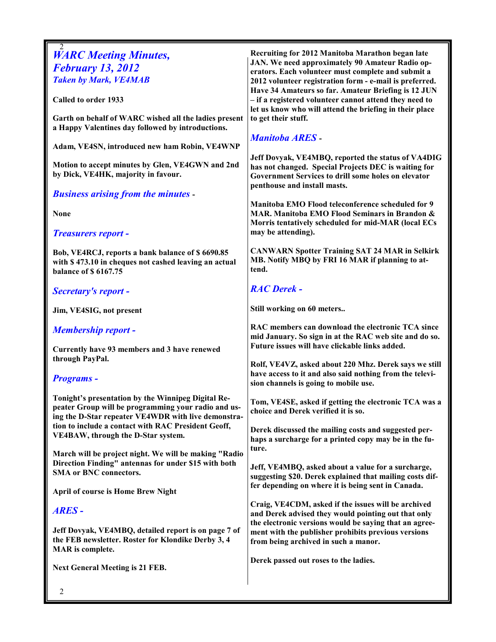| <b>WARC Meeting Minutes,</b><br><b>February 13, 2012</b><br><b>Taken by Mark, VE4MAB</b><br>Called to order 1933<br>Garth on behalf of WARC wished all the ladies present<br>a Happy Valentines day followed by introductions.<br>Adam, VE4SN, introduced new ham Robin, VE4WNP<br>Motion to accept minutes by Glen, VE4GWN and 2nd<br>by Dick, VE4HK, majority in favour.<br><b>Business arising from the minutes -</b><br><b>None</b><br><b>Treasurers report -</b><br>Bob, VE4RCJ, reports a bank balance of \$6690.85<br>with \$473.10 in cheques not cashed leaving an actual<br>balance of \$6167.75<br>Secretary's report -<br>Jim, VE4SIG, not present<br><b>Membership report -</b> | Recruiting for 2012 Manitoba Marathon began late<br>JAN. We need approximately 90 Amateur Radio op-<br>erators. Each volunteer must complete and submit a<br>2012 volunteer registration form - e-mail is preferred.<br>Have 34 Amateurs so far. Amateur Briefing is 12 JUN<br>- if a registered volunteer cannot attend they need to<br>let us know who will attend the briefing in their place<br>to get their stuff.<br><b>Manitoba ARES</b><br>Jeff Dovyak, VE4MBQ, reported the status of VA4DIG<br>has not changed. Special Projects DEC is waiting for<br>Government Services to drill some holes on elevator<br>penthouse and install masts.<br>Manitoba EMO Flood teleconference scheduled for 9<br>MAR. Manitoba EMO Flood Seminars in Brandon &<br>Morris tentatively scheduled for mid-MAR (local ECs<br>may be attending).<br><b>CANWARN Spotter Training SAT 24 MAR in Selkirk</b><br>MB. Notify MBQ by FRI 16 MAR if planning to at-<br>tend.<br><b>RAC Derek -</b><br>Still working on 60 meters<br>RAC members can download the electronic TCA since<br>mid January. So sign in at the RAC web site and do so.<br>Future issues will have clickable links added. |  |
|----------------------------------------------------------------------------------------------------------------------------------------------------------------------------------------------------------------------------------------------------------------------------------------------------------------------------------------------------------------------------------------------------------------------------------------------------------------------------------------------------------------------------------------------------------------------------------------------------------------------------------------------------------------------------------------------|-----------------------------------------------------------------------------------------------------------------------------------------------------------------------------------------------------------------------------------------------------------------------------------------------------------------------------------------------------------------------------------------------------------------------------------------------------------------------------------------------------------------------------------------------------------------------------------------------------------------------------------------------------------------------------------------------------------------------------------------------------------------------------------------------------------------------------------------------------------------------------------------------------------------------------------------------------------------------------------------------------------------------------------------------------------------------------------------------------------------------------------------------------------------------------------|--|
| Currently have 93 members and 3 have renewed<br>through PayPal.<br><b>Programs</b> -<br>Tonight's presentation by the Winnipeg Digital Re-                                                                                                                                                                                                                                                                                                                                                                                                                                                                                                                                                   | Rolf, VE4VZ, asked about 220 Mhz. Derek says we still<br>have access to it and also said nothing from the televi-<br>sion channels is going to mobile use.                                                                                                                                                                                                                                                                                                                                                                                                                                                                                                                                                                                                                                                                                                                                                                                                                                                                                                                                                                                                                        |  |
| peater Group will be programming your radio and us-<br>ing the D-Star repeater VE4WDR with live demonstra-<br>tion to include a contact with RAC President Geoff,<br>VE4BAW, through the D-Star system.<br>March will be project night. We will be making "Radio<br>Direction Finding" antennas for under \$15 with both<br><b>SMA or BNC connectors.</b>                                                                                                                                                                                                                                                                                                                                    | Tom, VE4SE, asked if getting the electronic TCA was a<br>choice and Derek verified it is so.<br>Derek discussed the mailing costs and suggested per-<br>haps a surcharge for a printed copy may be in the fu-<br>ture.<br>Jeff, VE4MBQ, asked about a value for a surcharge,<br>suggesting \$20. Derek explained that mailing costs dif-<br>fer depending on where it is being sent in Canada.<br>Craig, VE4CDM, asked if the issues will be archived<br>and Derek advised they would pointing out that only<br>the electronic versions would be saying that an agree-<br>ment with the publisher prohibits previous versions<br>from being archived in such a manor.                                                                                                                                                                                                                                                                                                                                                                                                                                                                                                             |  |
| <b>April of course is Home Brew Night</b><br><b>ARES-</b><br>Jeff Dovyak, VE4MBQ, detailed report is on page 7 of<br>the FEB newsletter. Roster for Klondike Derby 3, 4<br><b>MAR</b> is complete.                                                                                                                                                                                                                                                                                                                                                                                                                                                                                           |                                                                                                                                                                                                                                                                                                                                                                                                                                                                                                                                                                                                                                                                                                                                                                                                                                                                                                                                                                                                                                                                                                                                                                                   |  |
| <b>Next General Meeting is 21 FEB.</b><br>2                                                                                                                                                                                                                                                                                                                                                                                                                                                                                                                                                                                                                                                  | Derek passed out roses to the ladies.                                                                                                                                                                                                                                                                                                                                                                                                                                                                                                                                                                                                                                                                                                                                                                                                                                                                                                                                                                                                                                                                                                                                             |  |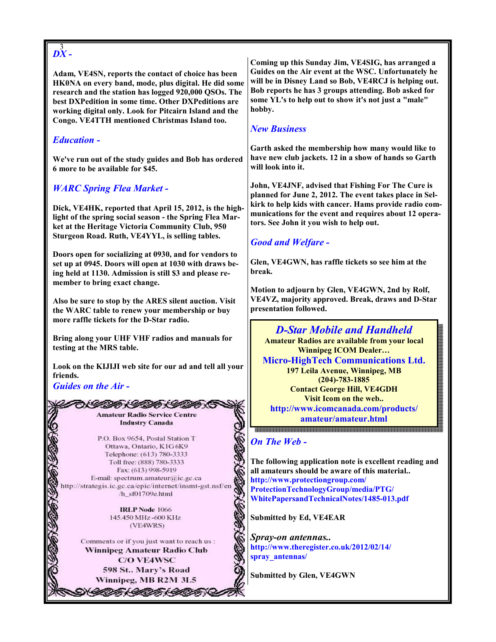# $\stackrel{3}{DX}$ -

Adam, VE4SN, reports the contact of choice has been HK0NA on every band, mode, plus digital. He did some research and the station has logged 920,000 QSOs. The best DXPedition in some time. Other DXPeditions are working digital only. Look for Pitcairn Island and the Congo. VE4TTH mentioned Christmas Island too.

## Education -

We've run out of the study guides and Bob has ordered 6 more to be available for \$45.

# WARC Spring Flea Market -

Dick, VE4HK, reported that April 15, 2012, is the highlight of the spring social season - the Spring Flea Market at the Heritage Victoria Community Club, 950 Sturgeon Road. Ruth, VE4YYL, is selling tables.

Doors open for socializing at 0930, and for vendors to set up at 0945. Doors will open at 1030 with draws being held at 1130. Admission is still \$3 and please remember to bring exact change.

Also be sure to stop by the ARES silent auction. Visit the WARC table to renew your membership or buy more raffle tickets for the D-Star radio.

Bring along your UHF VHF radios and manuals for testing at the MRS table.

Look on the KIJIJI web site for our ad and tell all your friends.

Guides on the Air -

3

ひくしのかく しのかくしのかく **Amateur Radio Service Centre Industry Canada** 

P.O. Box 9654, Postal Station T Ottawa, Ontario, K1G 6K9 Telephone: (613) 780-3333 Toll free: (888) 780-3333 Fax: (613) 998-5919 E-mail: spectrum.amateur@ic.gc.ca http://strategis.ic.gc.ca/epic/internet/insmt-gst.nsf/en /h\_sf01709e.html

> **IRLP Node 1066** 145.450 MHz -600 KHz (VE4WRS)

Comments or if you just want to reach us : Winnipeg Amateur Radio Club **C/O VE4WSC** 598 St., Mary's Road Winnipeg, MB R2M 3L5

N*GOBA (GOBA) GOBA* (GOB

Coming up this Sunday Jim, VE4SIG, has arranged a Guides on the Air event at the WSC. Unfortunately he will be in Disney Land so Bob, VE4RCJ is helping out. Bob reports he has 3 groups attending. Bob asked for some YL's to help out to show it's not just a "male" hobby.

## New Business

Garth asked the membership how many would like to have new club jackets. 12 in a show of hands so Garth will look into it.

John, VE4JNF, advised that Fishing For The Cure is planned for June 2, 2012. The event takes place in Selkirk to help kids with cancer. Hams provide radio communications for the event and requires about 12 operators. See John it you wish to help out.

# Good and Welfare -

Glen, VE4GWN, has raffle tickets so see him at the break.

Motion to adjourn by Glen, VE4GWN, 2nd by Rolf, VE4VZ, majority approved. Break, draws and D-Star presentation followed.



### On The Web -

The following application note is excellent reading and all amateurs should be aware of this material.. http://www.protectiongroup.com/ ProtectionTechnologyGroup/media/PTG/ WhitePapersandTechnicalNotes/1485-013.pdf

Submitted by Ed, VE4EAR

Spray-on antennas.. http://www.theregister.co.uk/2012/02/14/ spray\_antennas/

Submitted by Glen, VE4GWN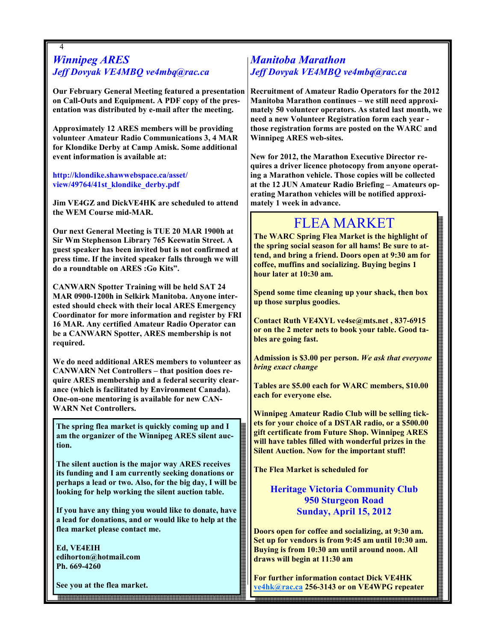### 4 Winnipeg ARES Jeff Dovyak VE4MBQ ve4mbq@rac.ca

Our February General Meeting featured a presentation on Call-Outs and Equipment. A PDF copy of the presentation was distributed by e-mail after the meeting.

Approximately 12 ARES members will be providing volunteer Amateur Radio Communications 3, 4 MAR for Klondike Derby at Camp Amisk. Some additional event information is available at:

http://klondike.shawwebspace.ca/asset/ view/49764/41st\_klondike\_derby.pdf

Jim VE4GZ and DickVE4HK are scheduled to attend the WEM Course mid-MAR.

Our next General Meeting is TUE 20 MAR 1900h at Sir Wm Stephenson Library 765 Keewatin Street. A guest speaker has been invited but is not confirmed at press time. If the invited speaker falls through we will do a roundtable on ARES :Go Kits".

CANWARN Spotter Training will be held SAT 24 MAR 0900-1200h in Selkirk Manitoba. Anyone interested should check with their local ARES Emergency Coordinator for more information and register by FRI 16 MAR. Any certified Amateur Radio Operator can be a CANWARN Spotter, ARES membership is not required.

We do need additional ARES members to volunteer as CANWARN Net Controllers – that position does require ARES membership and a federal security clearance (which is facilitated by Environment Canada). One-on-one mentoring is available for new CAN-WARN Net Controllers.

The spring flea market is quickly coming up and I am the organizer of the Winnipeg ARES silent auction.

The silent auction is the major way ARES receives its funding and I am currently seeking donations or perhaps a lead or two. Also, for the big day, I will be looking for help working the silent auction table.

If you have any thing you would like to donate, have a lead for donations, and or would like to help at the flea market please contact me.

4

Ed, VE4EIH edihorton@hotmail.com Ph. 669-4260

See you at the flea market.

# Manitoba Marathon Jeff Dovyak VE4MBQ ve4mbq@rac.ca

Recruitment of Amateur Radio Operators for the 2012 Manitoba Marathon continues – we still need approximately 50 volunteer operators. As stated last month, we need a new Volunteer Registration form each year those registration forms are posted on the WARC and Winnipeg ARES web-sites.

New for 2012, the Marathon Executive Director requires a driver licence photocopy from anyone operating a Marathon vehicle. Those copies will be collected at the 12 JUN Amateur Radio Briefing – Amateurs operating Marathon vehicles will be notified approximately 1 week in advance.

# FLEA MARKET

The WARC Spring Flea Market is the highlight of the spring social season for all hams! Be sure to attend, and bring a friend. Doors open at 9:30 am for coffee, muffins and socializing. Buying begins 1 hour later at 10:30 am.

Spend some time cleaning up your shack, then box up those surplus goodies.

Contact Ruth VE4XYL ve4se@mts.net , 837-6915 or on the 2 meter nets to book your table. Good tables are going fast.

Admission is \$3.00 per person. We ask that everyone bring exact change

Tables are \$5.00 each for WARC members, \$10.00 each for everyone else.

Winnipeg Amateur Radio Club will be selling tickets for your choice of a DSTAR radio, or a \$500.00 gift certificate from Future Shop. Winnipeg ARES will have tables filled with wonderful prizes in the Silent Auction. Now for the important stuff!

The Flea Market is scheduled for

## Heritage Victoria Community Club 950 Sturgeon Road Sunday, April 15, 2012

Doors open for coffee and socializing, at 9:30 am. Set up for vendors is from 9:45 am until 10:30 am. Buying is from 10:30 am until around noon. All draws will begin at 11:30 am

For further information contact Dick VE4HK ve4hk@rac.ca 256-3143 or on VE4WPG repeater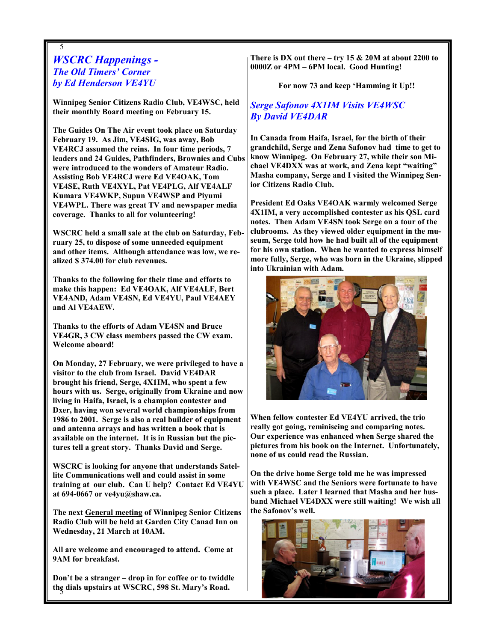## 5 WSCRC Happenings - The Old Timers' Corner by Ed Henderson VE4YU

Winnipeg Senior Citizens Radio Club, VE4WSC, held their monthly Board meeting on February 15.

The Guides On The Air event took place on Saturday February 19. As Jim, VE4SIG, was away, Bob VE4RCJ assumed the reins. In four time periods, 7 leaders and 24 Guides, Pathfinders, Brownies and Cubs were introduced to the wonders of Amateur Radio. Assisting Bob VE4RCJ were Ed VE4OAK, Tom VE4SE, Ruth VE4XYL, Pat VE4PLG, Alf VE4ALF Kumara VE4WKP, Supun VE4WSP and Piyumi VE4WPL. There was great TV and newspaper media coverage. Thanks to all for volunteering!

WSCRC held a small sale at the club on Saturday, February 25, to dispose of some unneeded equipment and other items. Although attendance was low, we realized \$ 374.00 for club revenues.

Thanks to the following for their time and efforts to make this happen: Ed VE4OAK, Alf VE4ALF, Bert VE4AND, Adam VE4SN, Ed VE4YU, Paul VE4AEY and Al VE4AEW.

Thanks to the efforts of Adam VE4SN and Bruce VE4GR, 3 CW class members passed the CW exam. Welcome aboard!

On Monday, 27 February, we were privileged to have a visitor to the club from Israel. David VE4DAR brought his friend, Serge, 4X1IM, who spent a few hours with us. Serge, originally from Ukraine and now living in Haifa, Israel, is a champion contester and Dxer, having won several world championships from 1986 to 2001. Serge is also a real builder of equipment and antenna arrays and has written a book that is available on the internet. It is in Russian but the pictures tell a great story. Thanks David and Serge.

WSCRC is looking for anyone that understands Satellite Communications well and could assist in some training at our club. Can U help? Contact Ed VE4YU at 694-0667 or ve4yu@shaw.ca.

The next General meeting of Winnipeg Senior Citizens Radio Club will be held at Garden City Canad Inn on Wednesday, 21 March at 10AM.

All are welcome and encouraged to attend. Come at 9AM for breakfast.

5 the dials upstairs at WSCRC, 598 St. Mary's Road. Don't be a stranger – drop in for coffee or to twiddle There is DX out there – try 15  $\&$  20M at about 2200 to 0000Z or 4PM – 6PM local. Good Hunting!

For now 73 and keep 'Hamming it Up!!

Serge Safonov 4X1IM Visits VE4WSC By David VE4DAR

In Canada from Haifa, Israel, for the birth of their grandchild, Serge and Zena Safonov had time to get to know Winnipeg. On February 27, while their son Michael VE4DXX was at work, and Zena kept "waiting" Masha company, Serge and I visited the Winnipeg Senior Citizens Radio Club.

President Ed Oaks VE4OAK warmly welcomed Serge 4X1IM, a very accomplished contester as his QSL card notes. Then Adam VE4SN took Serge on a tour of the clubrooms. As they viewed older equipment in the museum, Serge told how he had built all of the equipment for his own station. When he wanted to express himself more fully, Serge, who was born in the Ukraine, slipped into Ukrainian with Adam.



When fellow contester Ed VE4YU arrived, the trio really got going, reminiscing and comparing notes. Our experience was enhanced when Serge shared the pictures from his book on the Internet. Unfortunately, none of us could read the Russian.

On the drive home Serge told me he was impressed with VE4WSC and the Seniors were fortunate to have such a place. Later I learned that Masha and her husband Michael VE4DXX were still waiting! We wish all the Safonov's well.

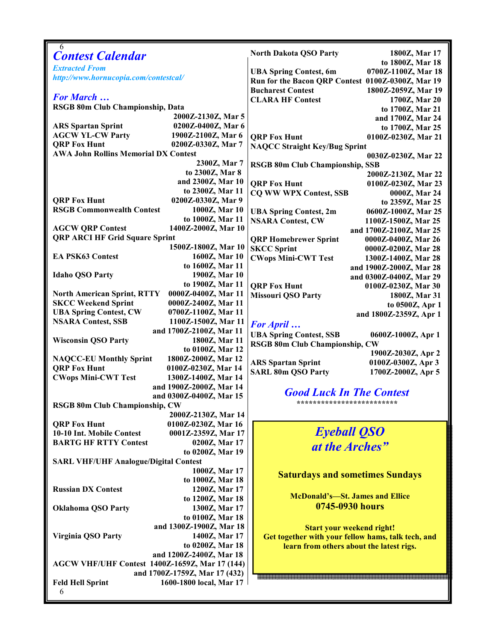| 6<br><b>Contest Calendar</b>                          |                               | North Dakota QSO Party                               | 1800Z, Mar 17           |
|-------------------------------------------------------|-------------------------------|------------------------------------------------------|-------------------------|
| <b>Extracted From</b>                                 |                               |                                                      | to 1800Z, Mar 18        |
| http://www.hornucopia.com/contestcal/                 |                               | 0700Z-1100Z, Mar 18<br><b>UBA Spring Contest, 6m</b> |                         |
|                                                       |                               | Run for the Bacon QRP Contest 0100Z-0300Z, Mar 19    |                         |
|                                                       |                               | <b>Bucharest Contest</b>                             | 1800Z-2059Z, Mar 19     |
| <b>For March </b>                                     |                               | <b>CLARA HF Contest</b>                              | 1700Z, Mar 20           |
| RSGB 80m Club Championship, Data                      |                               |                                                      | to 1700Z, Mar 21        |
|                                                       | 2000Z-2130Z, Mar 5            |                                                      | and 1700Z, Mar 24       |
| <b>ARS Spartan Sprint</b>                             | 0200Z-0400Z, Mar 6            |                                                      | to 1700Z, Mar 25        |
| <b>AGCW YL-CW Party</b>                               | 1900Z-2100Z, Mar 6            | <b>QRP Fox Hunt</b>                                  | 0100Z-0230Z, Mar 21     |
| <b>QRP Fox Hunt</b><br>0200Z-0330Z, Mar 7             |                               | <b>NAQCC Straight Key/Bug Sprint</b>                 |                         |
| <b>AWA John Rollins Memorial DX Contest</b>           |                               | 0030Z-0230Z, Mar 22                                  |                         |
|                                                       | 2300Z, Mar 7                  | <b>RSGB 80m Club Championship, SSB</b>               |                         |
|                                                       | to 2300Z, Mar 8               |                                                      | 2000Z-2130Z, Mar 22     |
|                                                       | and 2300Z, Mar 10             | <b>ORP Fox Hunt</b>                                  | 0100Z-0230Z, Mar 23     |
|                                                       | to 2300Z, Mar 11              | <b>CO WW WPX Contest, SSB</b>                        | 0000Z, Mar 24           |
| <b>QRP Fox Hunt</b>                                   | 0200Z-0330Z, Mar 9            |                                                      | to 2359Z, Mar 25        |
| <b>RSGB Commonwealth Contest</b>                      | 1000Z, Mar 10                 | <b>UBA Spring Contest, 2m</b>                        | 0600Z-1000Z, Mar 25     |
|                                                       | to 1000Z, Mar 11              | <b>NSARA Contest, CW</b>                             | 1100Z-1500Z, Mar 25     |
| <b>AGCW QRP Contest</b>                               | 1400Z-2000Z, Mar 10           |                                                      | and 1700Z-2100Z, Mar 25 |
| <b>QRP ARCI HF Grid Square Sprint</b>                 |                               | <b>QRP Homebrewer Sprint</b>                         | 0000Z-0400Z, Mar 26     |
|                                                       | 1500Z-1800Z, Mar 10           | <b>SKCC Sprint</b>                                   | 0000Z-0200Z, Mar 28     |
| <b>EA PSK63 Contest</b>                               | 1600Z, Mar 10                 | <b>CWops Mini-CWT Test</b>                           | 1300Z-1400Z, Mar 28     |
|                                                       | to 1600Z, Mar 11              |                                                      | and 1900Z-2000Z, Mar 28 |
| <b>Idaho QSO Party</b>                                | 1900Z, Mar 10                 |                                                      | and 0300Z-0400Z, Mar 29 |
|                                                       | to 1900Z, Mar 11              | <b>QRP Fox Hunt</b>                                  | 0100Z-0230Z, Mar 30     |
| <b>North American Sprint, RTTY</b>                    | 0000Z-0400Z, Mar 11           | <b>Missouri QSO Party</b>                            | 1800Z, Mar 31           |
| <b>SKCC Weekend Sprint</b>                            | 0000Z-2400Z, Mar 11           |                                                      | to 0500Z, Apr 1         |
| <b>UBA Spring Contest, CW</b>                         | 0700Z-1100Z, Mar 11           |                                                      | and 1800Z-2359Z, Apr 1  |
| <b>NSARA Contest, SSB</b>                             | 1100Z-1500Z, Mar 11           |                                                      |                         |
|                                                       | and 1700Z-2100Z, Mar 11       | <b>For April</b>                                     |                         |
| <b>Wisconsin QSO Party</b>                            | 1800Z, Mar 11                 | <b>UBA Spring Contest, SSB</b>                       | 0600Z-1000Z, Apr 1      |
|                                                       | to 0100Z, Mar 12              | <b>RSGB 80m Club Championship, CW</b>                |                         |
| <b>NAQCC-EU Monthly Sprint</b>                        | 1800Z-2000Z, Mar 12           |                                                      | 1900Z-2030Z, Apr 2      |
| <b>QRP Fox Hunt</b>                                   | 0100Z-0230Z, Mar 14           | <b>ARS Spartan Sprint</b>                            | 0100Z-0300Z, Apr 3      |
| <b>CWops Mini-CWT Test</b>                            | 1300Z-1400Z, Mar 14           | <b>SARL 80m QSO Party</b>                            | 1700Z-2000Z, Apr 5      |
|                                                       | and 1900Z-2000Z, Mar 14       |                                                      |                         |
|                                                       | and 0300Z-0400Z, Mar 15       | <b>Good Luck In The Contest</b>                      |                         |
| RSGB 80m Club Championship, CW                        |                               | *************************                            |                         |
|                                                       | 2000Z-2130Z, Mar 14           |                                                      |                         |
| <b>ORP Fox Hunt</b>                                   | 0100Z-0230Z, Mar 16           |                                                      |                         |
| 10-10 Int. Mobile Contest                             | 0001Z-2359Z, Mar 17           | <b>Eyeball QSO</b>                                   |                         |
| <b>BARTG HF RTTY Contest</b>                          | 0200Z, Mar 17                 |                                                      |                         |
|                                                       | to 0200Z, Mar 19              | at the Arches"                                       |                         |
| <b>SARL VHF/UHF Analogue/Digital Contest</b>          |                               |                                                      |                         |
|                                                       | 1000Z, Mar 17                 |                                                      |                         |
|                                                       |                               | <b>Saturdays and sometimes Sundays</b>               |                         |
|                                                       | to 1000Z, Mar 18              |                                                      |                         |
| <b>Russian DX Contest</b>                             | 1200Z, Mar 17                 | <b>McDonald's-St. James and Ellice</b>               |                         |
|                                                       | to 1200Z, Mar 18              | 0745-0930 hours                                      |                         |
| <b>Oklahoma QSO Party</b>                             | 1300Z, Mar 17                 |                                                      |                         |
|                                                       | to 0100Z, Mar 18              |                                                      |                         |
|                                                       | and 1300Z-1900Z, Mar 18       | <b>Start your weekend right!</b>                     |                         |
| <b>Virginia QSO Party</b>                             | 1400Z, Mar 17                 | Get together with your fellow hams, talk tech, and   |                         |
|                                                       | to 0200Z, Mar 18              | learn from others about the latest rigs.             |                         |
|                                                       | and 1200Z-2400Z, Mar 18       |                                                      |                         |
| <b>AGCW VHF/UHF Contest 1400Z-1659Z, Mar 17 (144)</b> |                               |                                                      |                         |
|                                                       | and 1700Z-1759Z, Mar 17 (432) |                                                      |                         |
| <b>Feld Hell Sprint</b>                               | 1600-1800 local, Mar 17       |                                                      |                         |
| 6                                                     |                               |                                                      |                         |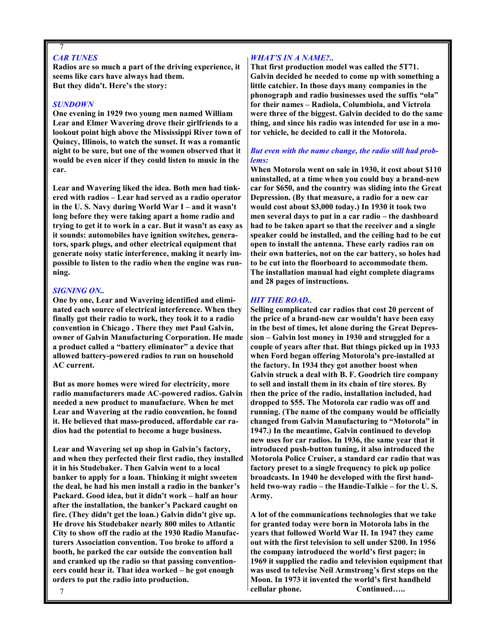#### 7 CAR TUNES

Radios are so much a part of the driving experience, it seems like cars have always had them. But they didn't. Here's the story:

#### SUNDOWN

One evening in 1929 two young men named William Lear and Elmer Wavering drove their girlfriends to a lookout point high above the Mississippi River town of Quincy, Illinois, to watch the sunset. It was a romantic night to be sure, but one of the women observed that it would be even nicer if they could listen to music in the car.

Lear and Wavering liked the idea. Both men had tinkered with radios – Lear had served as a radio operator in the U. S. Navy during World War I – and it wasn't long before they were taking apart a home radio and trying to get it to work in a car. But it wasn't as easy as it sounds: automobiles have ignition switches, generators, spark plugs, and other electrical equipment that generate noisy static interference, making it nearly impossible to listen to the radio when the engine was running.

#### SIGNING ON..

One by one, Lear and Wavering identified and eliminated each source of electrical interference. When they finally got their radio to work, they took it to a radio convention in Chicago . There they met Paul Galvin, owner of Galvin Manufacturing Corporation. He made a product called a "battery eliminator" a device that allowed battery-powered radios to run on household AC current.

But as more homes were wired for electricity, more radio manufacturers made AC-powered radios. Galvin needed a new product to manufacture. When he met Lear and Wavering at the radio convention, he found it. He believed that mass-produced, affordable car radios had the potential to become a huge business.

Lear and Wavering set up shop in Galvin's factory, and when they perfected their first radio, they installed it in his Studebaker. Then Galvin went to a local banker to apply for a loan. Thinking it might sweeten the deal, he had his men install a radio in the banker's Packard. Good idea, but it didn't work – half an hour after the installation, the banker's Packard caught on fire. (They didn't get the loan.) Galvin didn't give up. He drove his Studebaker nearly 800 miles to Atlantic City to show off the radio at the 1930 Radio Manufacturers Association convention. Too broke to afford a booth, he parked the car outside the convention hall and cranked up the radio so that passing conventioneers could hear it. That idea worked – he got enough orders to put the radio into production.

#### WHAT'S IN A NAME?..

That first production model was called the 5T71. Galvin decided he needed to come up with something a little catchier. In those days many companies in the phonograph and radio businesses used the suffix "ola" for their names – Radiola, Columbiola, and Victrola were three of the biggest. Galvin decided to do the same thing, and since his radio was intended for use in a motor vehicle, he decided to call it the Motorola.

#### But even with the name change, the radio still had problems:

When Motorola went on sale in 1930, it cost about \$110 uninstalled, at a time when you could buy a brand-new car for \$650, and the country was sliding into the Great Depression. (By that measure, a radio for a new car would cost about \$3,000 today.) In 1930 it took two men several days to put in a car radio – the dashboard had to be taken apart so that the receiver and a single speaker could be installed, and the ceiling had to be cut open to install the antenna. These early radios ran on their own batteries, not on the car battery, so holes had to be cut into the floorboard to accommodate them. The installation manual had eight complete diagrams and 28 pages of instructions.

#### HIT THE ROAD..

Selling complicated car radios that cost 20 percent of the price of a brand-new car wouldn't have been easy in the best of times, let alone during the Great Depression – Galvin lost money in 1930 and struggled for a couple of years after that. But things picked up in 1933 when Ford began offering Motorola's pre-installed at the factory. In 1934 they got another boost when Galvin struck a deal with B. F. Goodrich tire company to sell and install them in its chain of tire stores. By then the price of the radio, installation included, had dropped to \$55. The Motorola car radio was off and running. (The name of the company would be officially changed from Galvin Manufacturing to "Motorola" in 1947.) In the meantime, Galvin continued to develop new uses for car radios. In 1936, the same year that it introduced push-button tuning, it also introduced the Motorola Police Cruiser, a standard car radio that was factory preset to a single frequency to pick up police broadcasts. In 1940 he developed with the first handheld two-way radio – the Handie-Talkie – for the U. S. Army.

A lot of the communications technologies that we take for granted today were born in Motorola labs in the years that followed World War II. In 1947 they came out with the first television to sell under \$200. In 1956 the company introduced the world's first pager; in 1969 it supplied the radio and television equipment that was used to televise Neil Armstrong's first steps on the Moon. In 1973 it invented the world's first handheld cellular phone. Continued…..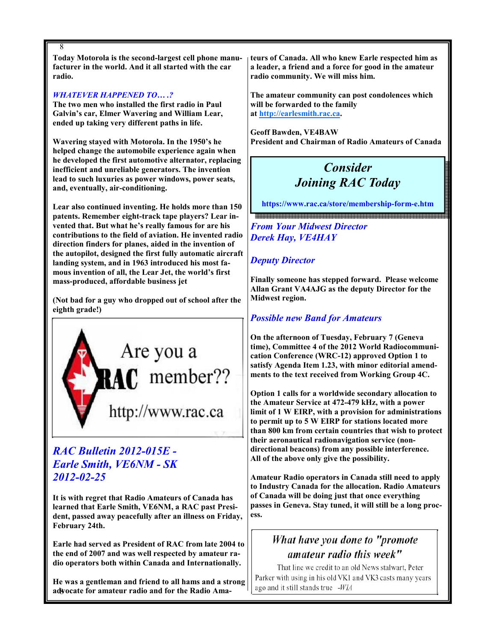8 Today Motorola is the second-largest cell phone manufacturer in the world. And it all started with the car radio.

#### WHATEVER HAPPENED TO....?

The two men who installed the first radio in Paul Galvin's car, Elmer Wavering and William Lear, ended up taking very different paths in life.

Wavering stayed with Motorola. In the 1950's he helped change the automobile experience again when he developed the first automotive alternator, replacing inefficient and unreliable generators. The invention lead to such luxuries as power windows, power seats, and, eventually, air-conditioning.

Lear also continued inventing. He holds more than 150 patents. Remember eight-track tape players? Lear invented that. But what he's really famous for are his contributions to the field of aviation. He invented radio direction finders for planes, aided in the invention of the autopilot, designed the first fully automatic aircraft landing system, and in 1963 introduced his most famous invention of all, the Lear Jet, the world's first mass-produced, affordable business jet

(Not bad for a guy who dropped out of school after the eighth grade!)



# RAC Bulletin 2012-015E - Earle Smith, VE6NM - SK 2012-02-25

It is with regret that Radio Amateurs of Canada has learned that Earle Smith, VE6NM, a RAC past President, passed away peacefully after an illness on Friday, February 24th.

Earle had served as President of RAC from late 2004 to the end of 2007 and was well respected by amateur radio operators both within Canada and Internationally.

advocate for amateur radio and for the Radio Ama-He was a gentleman and friend to all hams and a strong

teurs of Canada. All who knew Earle respected him as a leader, a friend and a force for good in the amateur radio community. We will miss him.

The amateur community can post condolences which will be forwarded to the family at http://earlesmith.rac.ca.

Geoff Bawden, VE4BAW President and Chairman of Radio Amateurs of Canada

# Consider Joining RAC Today

https://www.rac.ca/store/membership-form-e.htm

From Your Midwest Director Derek Hay, VE4HAY

## Deputy Director

Finally someone has stepped forward. Please welcome Allan Grant VA4AJG as the deputy Director for the Midwest region.

# Possible new Band for Amateurs

On the afternoon of Tuesday, February 7 (Geneva time), Committee 4 of the 2012 World Radiocommunication Conference (WRC-12) approved Option 1 to satisfy Agenda Item 1.23, with minor editorial amendments to the text received from Working Group 4C.

Option 1 calls for a worldwide secondary allocation to the Amateur Service at 472-479 kHz, with a power limit of 1 W EIRP, with a provision for administrations to permit up to 5 W EIRP for stations located more than 800 km from certain countries that wish to protect their aeronautical radionavigation service (nondirectional beacons) from any possible interference. All of the above only give the possibility.

Amateur Radio operators in Canada still need to apply to Industry Canada for the allocation. Radio Amateurs of Canada will be doing just that once everything passes in Geneva. Stay tuned, it will still be a long process.

# What have you done to "promote amateur radio this week"

That line we credit to an old News stalwart, Peter Parker with using in his old VK1 and VK3 casts many years ago and it still stands true -WIA